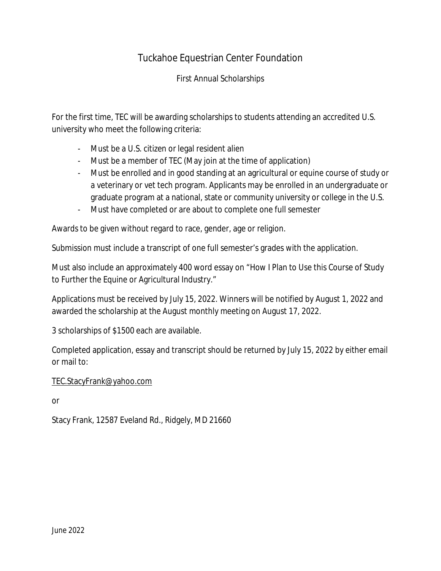## Tuckahoe Equestrian Center Foundation

First Annual Scholarships

For the first time, TEC will be awarding scholarships to students attending an accredited U.S. university who meet the following criteria:

- Must be a U.S. citizen or legal resident alien
- Must be a member of TEC (May join at the time of application)
- Must be enrolled and in good standing at an agricultural or equine course of study or a veterinary or vet tech program. Applicants may be enrolled in an undergraduate or graduate program at a national, state or community university or college in the U.S.
- Must have completed or are about to complete one full semester

Awards to be given without regard to race, gender, age or religion.

Submission must include a transcript of one full semester's grades with the application.

Must also include an approximately 400 word essay on "How I Plan to Use this Course of Study to Further the Equine or Agricultural Industry."

Applications must be received by July 15, 2022. Winners will be notified by August 1, 2022 and awarded the scholarship at the August monthly meeting on August 17, 2022.

3 scholarships of \$1500 each are available.

Completed application, essay and transcript should be returned by July 15, 2022 by either email or mail to:

[TEC.StacyFrank@yahoo.com](mailto:TEC.StacyFrank@yahoo.com)

or

Stacy Frank, 12587 Eveland Rd., Ridgely, MD 21660